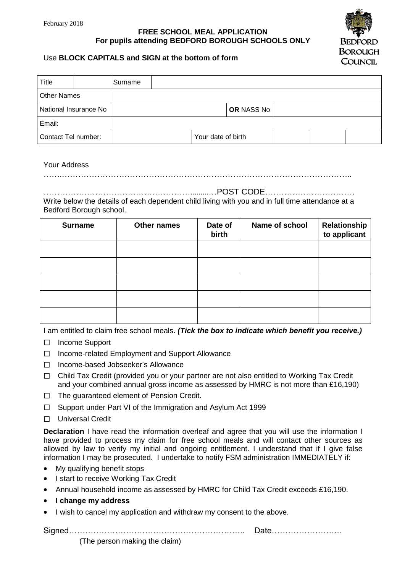## **FREE SCHOOL MEAL APPLICATION For pupils attending BEDFORD BOROUGH SCHOOLS ONLY**



## Use **BLOCK CAPITALS and SIGN at the bottom of form**

| <b>Title</b>          |  | Surname |                    |            |  |  |  |  |
|-----------------------|--|---------|--------------------|------------|--|--|--|--|
| <b>Other Names</b>    |  |         |                    |            |  |  |  |  |
| National Insurance No |  |         |                    | OR NASS No |  |  |  |  |
| Email:                |  |         |                    |            |  |  |  |  |
| Contact Tel number:   |  |         | Your date of birth |            |  |  |  |  |

## Your Address

…….……………………………………………………………………………………………..

……………………………………………….........…POST CODE…………………………… Write below the details of each dependent child living with you and in full time attendance at a Bedford Borough school.

| <b>Surname</b> | Other names | Date of<br>birth | Name of school | Relationship<br>to applicant |
|----------------|-------------|------------------|----------------|------------------------------|
|                |             |                  |                |                              |
|                |             |                  |                |                              |
|                |             |                  |                |                              |
|                |             |                  |                |                              |
|                |             |                  |                |                              |

I am entitled to claim free school meals. *(Tick the box to indicate which benefit you receive.)*

- □ Income Support
- □ Income-related Employment and Support Allowance
- □ Income-based Jobseeker's Allowance
- □ Child Tax Credit (provided you or your partner are not also entitled to Working Tax Credit and your combined annual gross income as assessed by HMRC is not more than £16,190)
- $\Box$  The quaranteed element of Pension Credit.
- $\Box$  Support under Part VI of the Immigration and Asylum Act 1999
- □ Universal Credit

**Declaration** I have read the information overleaf and agree that you will use the information I have provided to process my claim for free school meals and will contact other sources as allowed by law to verify my initial and ongoing entitlement. I understand that if I give false information I may be prosecuted. I undertake to notify FSM administration IMMEDIATELY if:

- My qualifying benefit stops
- I start to receive Working Tax Credit
- Annual household income as assessed by HMRC for Child Tax Credit exceeds £16,190.
- **I change my address**
- I wish to cancel my application and withdraw my consent to the above.

Signed……………………………………………………….. Date……………………..

(The person making the claim)